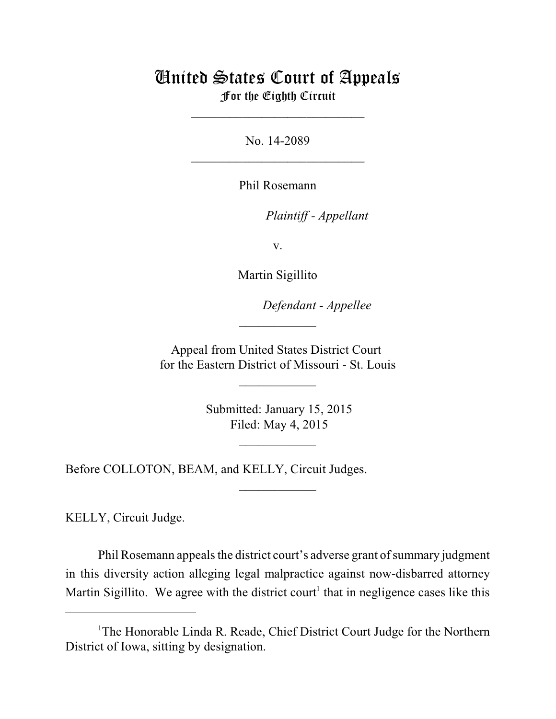## United States Court of Appeals For the Eighth Circuit

\_\_\_\_\_\_\_\_\_\_\_\_\_\_\_\_\_\_\_\_\_\_\_\_\_\_\_

No. 14-2089  $\mathcal{L}_\text{max}$  , which is a set of the set of the set of the set of the set of the set of the set of the set of the set of the set of the set of the set of the set of the set of the set of the set of the set of the set of

Phil Rosemann

lllllllllllllllllllll *Plaintiff - Appellant*

v.

Martin Sigillito

Defendant - Appellee

Appeal from United States District Court for the Eastern District of Missouri - St. Louis

 $\overline{\phantom{a}}$  , where  $\overline{\phantom{a}}$ 

 $\frac{1}{2}$ 

 Submitted: January 15, 2015 Filed: May 4, 2015

 $\frac{1}{2}$ 

 $\overline{\phantom{a}}$  , where  $\overline{\phantom{a}}$ 

Before COLLOTON, BEAM, and KELLY, Circuit Judges.

KELLY, Circuit Judge.

Phil Rosemann appeals the district court's adverse grant of summary judgment in this diversity action alleging legal malpractice against now-disbarred attorney Martin Sigillito. We agree with the district court<sup>1</sup> that in negligence cases like this

<sup>&</sup>lt;sup>1</sup>The Honorable Linda R. Reade, Chief District Court Judge for the Northern District of Iowa, sitting by designation.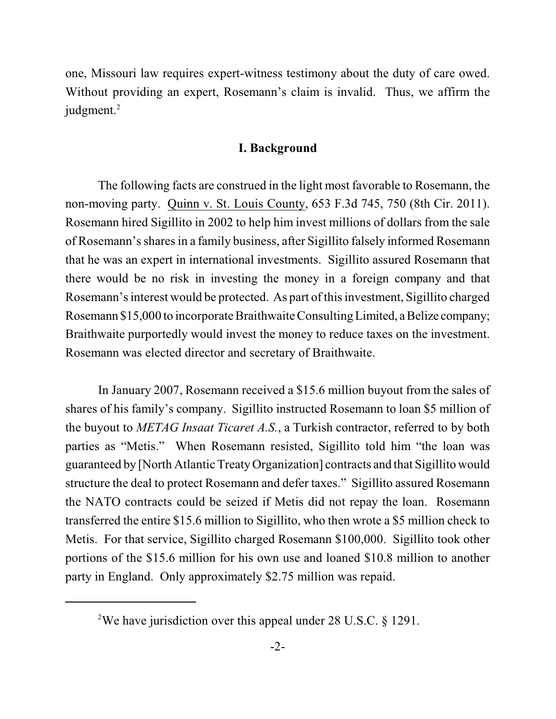one, Missouri law requires expert-witness testimony about the duty of care owed. Without providing an expert, Rosemann's claim is invalid. Thus, we affirm the judgment.<sup>2</sup>

## **I. Background**

The following facts are construed in the light most favorable to Rosemann, the non-moving party. Quinn v. St. Louis County, 653 F.3d 745, 750 (8th Cir. 2011). Rosemann hired Sigillito in 2002 to help him invest millions of dollars from the sale of Rosemann's sharesin a family business, after Sigillito falsely informed Rosemann that he was an expert in international investments. Sigillito assured Rosemann that there would be no risk in investing the money in a foreign company and that Rosemann's interest would be protected. As part of this investment, Sigillito charged Rosemann \$15,000 to incorporate Braithwaite Consulting Limited, a Belize company; Braithwaite purportedly would invest the money to reduce taxes on the investment. Rosemann was elected director and secretary of Braithwaite.

In January 2007, Rosemann received a \$15.6 million buyout from the sales of shares of his family's company. Sigillito instructed Rosemann to loan \$5 million of the buyout to *METAG Insaat Ticaret A.S.*, a Turkish contractor, referred to by both parties as "Metis." When Rosemann resisted, Sigillito told him "the loan was guaranteed by [North Atlantic TreatyOrganization] contracts and that Sigillito would structure the deal to protect Rosemann and defer taxes." Sigillito assured Rosemann the NATO contracts could be seized if Metis did not repay the loan. Rosemann transferred the entire \$15.6 million to Sigillito, who then wrote a \$5 million check to Metis. For that service, Sigillito charged Rosemann \$100,000. Sigillito took other portions of the \$15.6 million for his own use and loaned \$10.8 million to another party in England. Only approximately \$2.75 million was repaid.

<sup>&</sup>lt;sup>2</sup>We have jurisdiction over this appeal under 28 U.S.C.  $\S$  1291.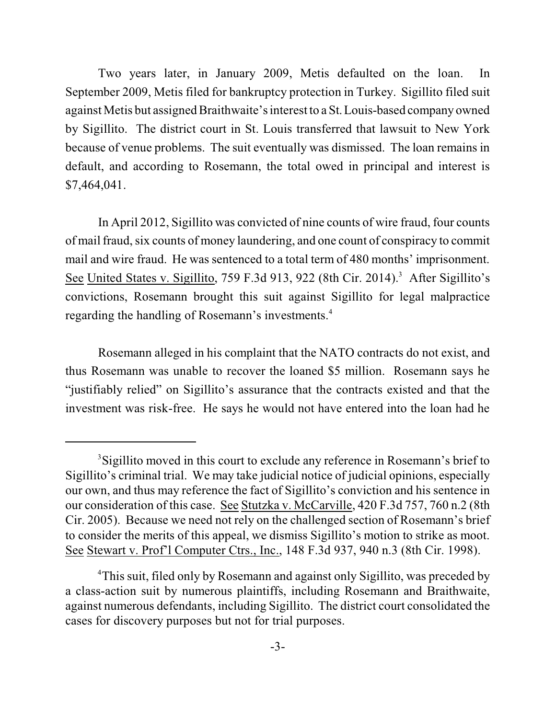Two years later, in January 2009, Metis defaulted on the loan. In September 2009, Metis filed for bankruptcy protection in Turkey. Sigillito filed suit against Metis but assigned Braithwaite's interest to a St. Louis-based company owned by Sigillito. The district court in St. Louis transferred that lawsuit to New York because of venue problems. The suit eventually was dismissed. The loan remains in default, and according to Rosemann, the total owed in principal and interest is \$7,464,041.

In April 2012, Sigillito was convicted of nine counts of wire fraud, four counts of mail fraud, six counts of money laundering, and one count of conspiracy to commit mail and wire fraud. He was sentenced to a total term of 480 months' imprisonment. See United States v. Sigillito, 759 F.3d 913, 922 (8th Cir. 2014).<sup>3</sup> After Sigillito's convictions, Rosemann brought this suit against Sigillito for legal malpractice regarding the handling of Rosemann's investments. 4

Rosemann alleged in his complaint that the NATO contracts do not exist, and thus Rosemann was unable to recover the loaned \$5 million. Rosemann says he "justifiably relied" on Sigillito's assurance that the contracts existed and that the investment was risk-free. He says he would not have entered into the loan had he

<sup>&</sup>lt;sup>3</sup>Sigillito moved in this court to exclude any reference in Rosemann's brief to Sigillito's criminal trial. We may take judicial notice of judicial opinions, especially our own, and thus may reference the fact of Sigillito's conviction and his sentence in our consideration of this case. See Stutzka v. McCarville, 420 F.3d 757, 760 n.2 (8th Cir. 2005). Because we need not rely on the challenged section of Rosemann's brief to consider the merits of this appeal, we dismiss Sigillito's motion to strike as moot. See Stewart v. Prof'l Computer Ctrs., Inc., 148 F.3d 937, 940 n.3 (8th Cir. 1998).

<sup>&</sup>lt;sup>4</sup>This suit, filed only by Rosemann and against only Sigillito, was preceded by a class-action suit by numerous plaintiffs, including Rosemann and Braithwaite, against numerous defendants, including Sigillito. The district court consolidated the cases for discovery purposes but not for trial purposes.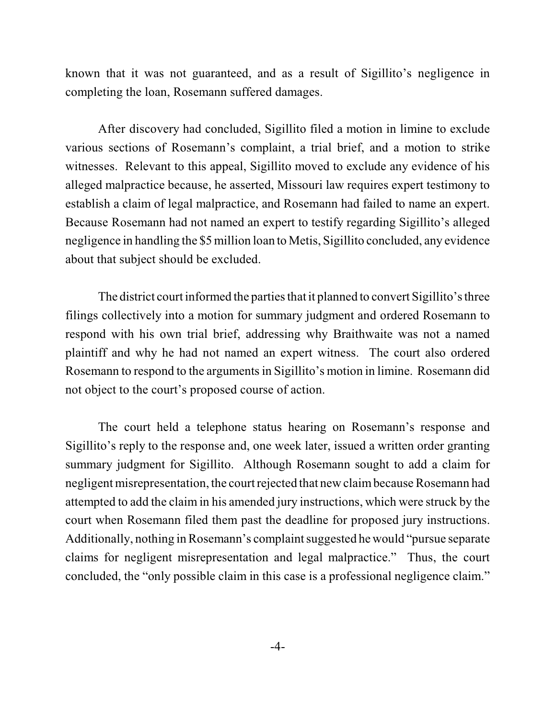known that it was not guaranteed, and as a result of Sigillito's negligence in completing the loan, Rosemann suffered damages.

After discovery had concluded, Sigillito filed a motion in limine to exclude various sections of Rosemann's complaint, a trial brief, and a motion to strike witnesses. Relevant to this appeal, Sigillito moved to exclude any evidence of his alleged malpractice because, he asserted, Missouri law requires expert testimony to establish a claim of legal malpractice, and Rosemann had failed to name an expert. Because Rosemann had not named an expert to testify regarding Sigillito's alleged negligence in handling the \$5 million loan to Metis, Sigillito concluded, any evidence about that subject should be excluded.

The district court informed the parties that it planned to convert Sigillito's three filings collectively into a motion for summary judgment and ordered Rosemann to respond with his own trial brief, addressing why Braithwaite was not a named plaintiff and why he had not named an expert witness. The court also ordered Rosemann to respond to the arguments in Sigillito's motion in limine. Rosemann did not object to the court's proposed course of action.

The court held a telephone status hearing on Rosemann's response and Sigillito's reply to the response and, one week later, issued a written order granting summary judgment for Sigillito. Although Rosemann sought to add a claim for negligent misrepresentation, the court rejected that new claim because Rosemann had attempted to add the claim in his amended jury instructions, which were struck by the court when Rosemann filed them past the deadline for proposed jury instructions. Additionally, nothing in Rosemann's complaint suggested he would "pursue separate" claims for negligent misrepresentation and legal malpractice." Thus, the court concluded, the "only possible claim in this case is a professional negligence claim."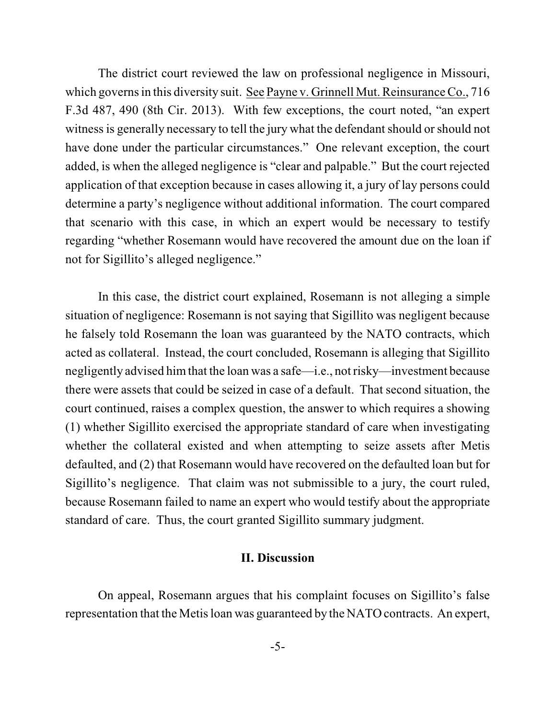The district court reviewed the law on professional negligence in Missouri, which governs in this diversity suit. See Payne v. Grinnell Mut. Reinsurance Co., 716 F.3d 487, 490 (8th Cir. 2013). With few exceptions, the court noted, "an expert witness is generally necessary to tell the jury what the defendant should or should not have done under the particular circumstances." One relevant exception, the court added, is when the alleged negligence is "clear and palpable." But the court rejected application of that exception because in cases allowing it, a jury of lay persons could determine a party's negligence without additional information. The court compared that scenario with this case, in which an expert would be necessary to testify regarding "whether Rosemann would have recovered the amount due on the loan if not for Sigillito's alleged negligence."

In this case, the district court explained, Rosemann is not alleging a simple situation of negligence: Rosemann is not saying that Sigillito was negligent because he falsely told Rosemann the loan was guaranteed by the NATO contracts, which acted as collateral. Instead, the court concluded, Rosemann is alleging that Sigillito negligently advised himthat the loan was a safe—i.e., not risky—investment because there were assets that could be seized in case of a default. That second situation, the court continued, raises a complex question, the answer to which requires a showing (1) whether Sigillito exercised the appropriate standard of care when investigating whether the collateral existed and when attempting to seize assets after Metis defaulted, and (2) that Rosemann would have recovered on the defaulted loan but for Sigillito's negligence. That claim was not submissible to a jury, the court ruled, because Rosemann failed to name an expert who would testify about the appropriate standard of care. Thus, the court granted Sigillito summary judgment.

## **II. Discussion**

On appeal, Rosemann argues that his complaint focuses on Sigillito's false representation that the Metisloan was guaranteed by the NATO contracts. An expert,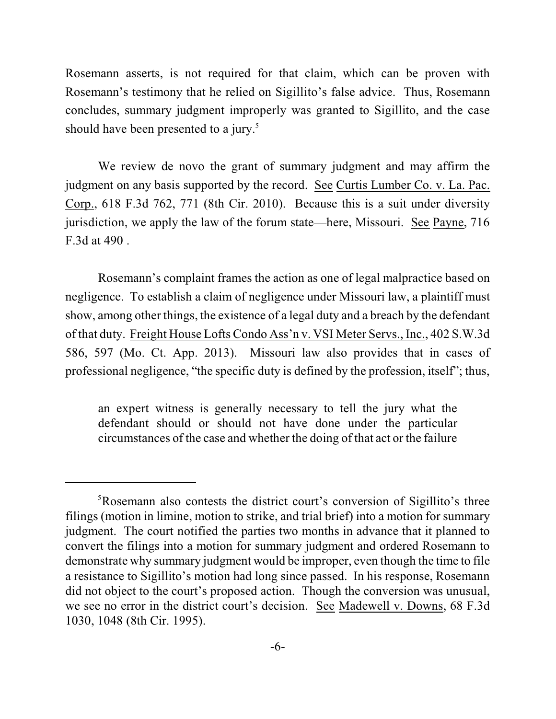Rosemann asserts, is not required for that claim, which can be proven with Rosemann's testimony that he relied on Sigillito's false advice. Thus, Rosemann concludes, summary judgment improperly was granted to Sigillito, and the case should have been presented to a jury.<sup>5</sup>

We review de novo the grant of summary judgment and may affirm the judgment on any basis supported by the record. See Curtis Lumber Co. v. La. Pac. Corp., 618 F.3d 762, 771 (8th Cir. 2010). Because this is a suit under diversity jurisdiction, we apply the law of the forum state—here, Missouri. See Payne, 716 F.3d at 490 .

Rosemann's complaint frames the action as one of legal malpractice based on negligence. To establish a claim of negligence under Missouri law, a plaintiff must show, among other things, the existence of a legal duty and a breach by the defendant of that duty. Freight House Lofts Condo Ass'n v. VSI Meter Servs., Inc., 402 S.W.3d 586, 597 (Mo. Ct. App. 2013). Missouri law also provides that in cases of professional negligence, "the specific duty is defined by the profession, itself"; thus,

an expert witness is generally necessary to tell the jury what the defendant should or should not have done under the particular circumstances of the case and whether the doing of that act or the failure

<sup>&</sup>lt;sup>5</sup>Rosemann also contests the district court's conversion of Sigillito's three filings (motion in limine, motion to strike, and trial brief) into a motion for summary judgment. The court notified the parties two months in advance that it planned to convert the filings into a motion for summary judgment and ordered Rosemann to demonstrate why summary judgment would be improper, even though the time to file a resistance to Sigillito's motion had long since passed. In his response, Rosemann did not object to the court's proposed action. Though the conversion was unusual, we see no error in the district court's decision. See Madewell v. Downs, 68 F.3d 1030, 1048 (8th Cir. 1995).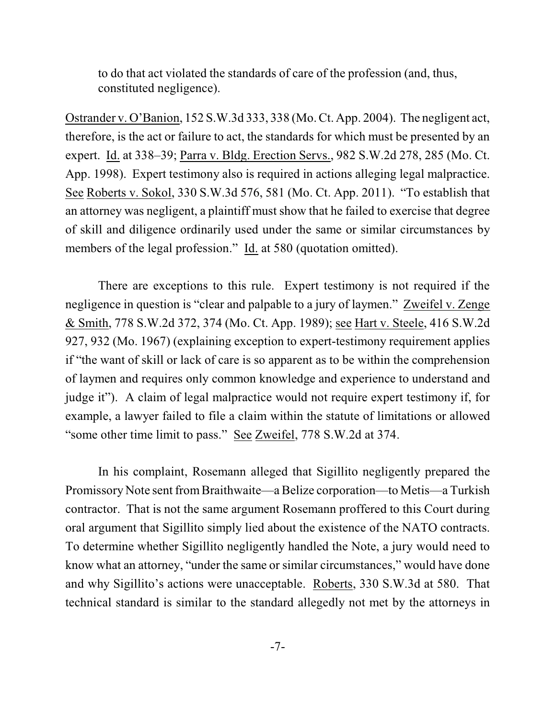to do that act violated the standards of care of the profession (and, thus, constituted negligence).

Ostrander v. O'Banion, 152 S.W.3d 333, 338 (Mo. Ct. App. 2004). The negligent act, therefore, is the act or failure to act, the standards for which must be presented by an expert. Id. at 338–39; Parra v. Bldg. Erection Servs., 982 S.W.2d 278, 285 (Mo. Ct. App. 1998). Expert testimony also is required in actions alleging legal malpractice. See Roberts v. Sokol, 330 S.W.3d 576, 581 (Mo. Ct. App. 2011). "To establish that an attorney was negligent, a plaintiff must show that he failed to exercise that degree of skill and diligence ordinarily used under the same or similar circumstances by members of the legal profession." Id. at 580 (quotation omitted).

There are exceptions to this rule. Expert testimony is not required if the negligence in question is "clear and palpable to a jury of laymen." Zweifel v. Zenge & Smith, 778 S.W.2d 372, 374 (Mo. Ct. App. 1989); see Hart v. Steele, 416 S.W.2d 927, 932 (Mo. 1967) (explaining exception to expert-testimony requirement applies if "the want of skill or lack of care is so apparent as to be within the comprehension of laymen and requires only common knowledge and experience to understand and judge it"). A claim of legal malpractice would not require expert testimony if, for example, a lawyer failed to file a claim within the statute of limitations or allowed "some other time limit to pass." See Zweifel, 778 S.W.2d at 374.

In his complaint, Rosemann alleged that Sigillito negligently prepared the Promissory Note sent fromBraithwaite—a Belize corporation—to Metis—a Turkish contractor. That is not the same argument Rosemann proffered to this Court during oral argument that Sigillito simply lied about the existence of the NATO contracts. To determine whether Sigillito negligently handled the Note, a jury would need to know what an attorney, "under the same or similar circumstances," would have done and why Sigillito's actions were unacceptable. Roberts, 330 S.W.3d at 580. That technical standard is similar to the standard allegedly not met by the attorneys in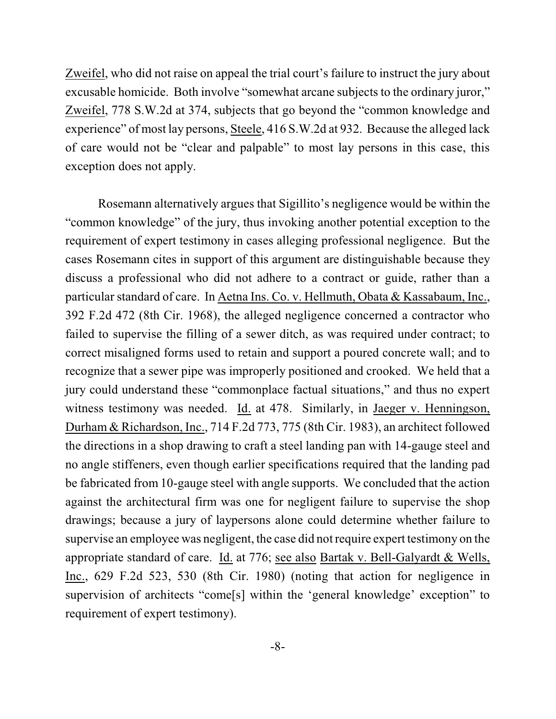Zweifel, who did not raise on appeal the trial court's failure to instruct the jury about excusable homicide. Both involve "somewhat arcane subjects to the ordinary juror," Zweifel, 778 S.W.2d at 374, subjects that go beyond the "common knowledge and experience" of most lay persons, Steele, 416 S.W.2d at 932. Because the alleged lack of care would not be "clear and palpable" to most lay persons in this case, this exception does not apply.

Rosemann alternatively argues that Sigillito's negligence would be within the "common knowledge" of the jury, thus invoking another potential exception to the requirement of expert testimony in cases alleging professional negligence. But the cases Rosemann cites in support of this argument are distinguishable because they discuss a professional who did not adhere to a contract or guide, rather than a particular standard of care. In Aetna Ins. Co. v. Hellmuth, Obata & Kassabaum, Inc., 392 F.2d 472 (8th Cir. 1968), the alleged negligence concerned a contractor who failed to supervise the filling of a sewer ditch, as was required under contract; to correct misaligned forms used to retain and support a poured concrete wall; and to recognize that a sewer pipe was improperly positioned and crooked. We held that a jury could understand these "commonplace factual situations," and thus no expert witness testimony was needed. Id. at 478. Similarly, in Jaeger v. Henningson, Durham & Richardson, Inc., 714 F.2d 773, 775 (8th Cir. 1983), an architect followed the directions in a shop drawing to craft a steel landing pan with 14-gauge steel and no angle stiffeners, even though earlier specifications required that the landing pad be fabricated from 10-gauge steel with angle supports. We concluded that the action against the architectural firm was one for negligent failure to supervise the shop drawings; because a jury of laypersons alone could determine whether failure to supervise an employee was negligent, the case did not require expert testimony on the appropriate standard of care. Id. at 776; see also Bartak v. Bell-Galyardt & Wells, Inc., 629 F.2d 523, 530 (8th Cir. 1980) (noting that action for negligence in supervision of architects "come[s] within the 'general knowledge' exception" to requirement of expert testimony).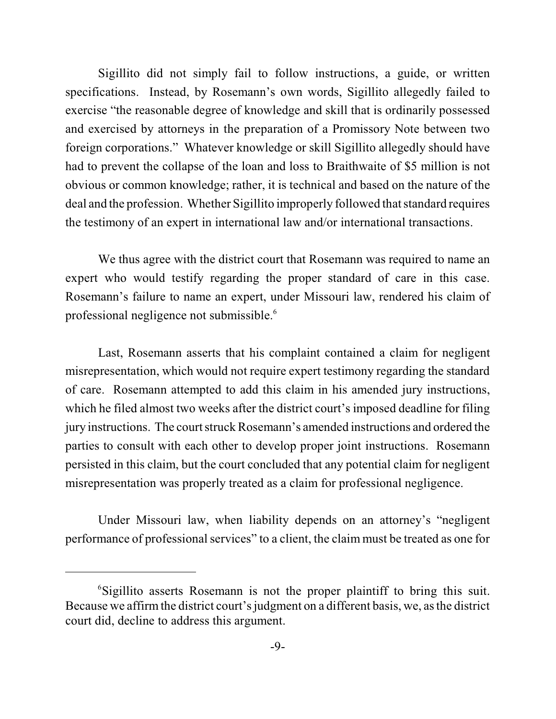Sigillito did not simply fail to follow instructions, a guide, or written specifications. Instead, by Rosemann's own words, Sigillito allegedly failed to exercise "the reasonable degree of knowledge and skill that is ordinarily possessed and exercised by attorneys in the preparation of a Promissory Note between two foreign corporations." Whatever knowledge or skill Sigillito allegedly should have had to prevent the collapse of the loan and loss to Braithwaite of \$5 million is not obvious or common knowledge; rather, it is technical and based on the nature of the deal and the profession. Whether Sigillito improperly followed that standard requires the testimony of an expert in international law and/or international transactions.

We thus agree with the district court that Rosemann was required to name an expert who would testify regarding the proper standard of care in this case. Rosemann's failure to name an expert, under Missouri law, rendered his claim of professional negligence not submissible.<sup>6</sup>

Last, Rosemann asserts that his complaint contained a claim for negligent misrepresentation, which would not require expert testimony regarding the standard of care. Rosemann attempted to add this claim in his amended jury instructions, which he filed almost two weeks after the district court's imposed deadline for filing jury instructions. The court struck Rosemann's amended instructions and ordered the parties to consult with each other to develop proper joint instructions. Rosemann persisted in this claim, but the court concluded that any potential claim for negligent misrepresentation was properly treated as a claim for professional negligence.

Under Missouri law, when liability depends on an attorney's "negligent performance of professional services" to a client, the claim must be treated as one for

<sup>&</sup>lt;sup>6</sup>Sigillito asserts Rosemann is not the proper plaintiff to bring this suit. Because we affirm the district court's judgment on a different basis, we, as the district court did, decline to address this argument.